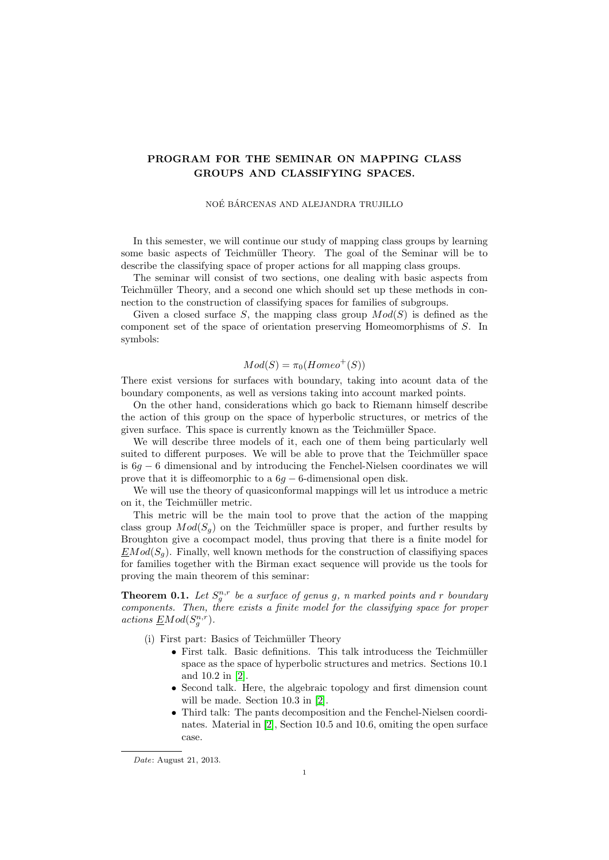## PROGRAM FOR THE SEMINAR ON MAPPING CLASS GROUPS AND CLASSIFYING SPACES.

### NOÉ BÁRCENAS AND ALEJANDRA TRUJILLO

In this semester, we will continue our study of mapping class groups by learning some basic aspects of Teichmüller Theory. The goal of the Seminar will be to describe the classifying space of proper actions for all mapping class groups.

The seminar will consist of two sections, one dealing with basic aspects from Teichmüller Theory, and a second one which should set up these methods in connection to the construction of classifying spaces for families of subgroups.

Given a closed surface S, the mapping class group  $Mod(S)$  is defined as the component set of the space of orientation preserving Homeomorphisms of S. In symbols:

# $Mod(S) = \pi_0(Homeo^+(S))$

There exist versions for surfaces with boundary, taking into acount data of the boundary components, as well as versions taking into account marked points.

On the other hand, considerations which go back to Riemann himself describe the action of this group on the space of hyperbolic structures, or metrics of the given surface. This space is currently known as the Teichmüller Space.

We will describe three models of it, each one of them being particularly well suited to different purposes. We will be able to prove that the Teichmüller space is  $6g - 6$  dimensional and by introducing the Fenchel-Nielsen coordinates we will prove that it is diffeomorphic to a  $6q - 6$ -dimensional open disk.

We will use the theory of quasiconformal mappings will let us introduce a metric on it, the Teichmüller metric.

This metric will be the main tool to prove that the action of the mapping class group  $Mod(S_q)$  on the Teichmüller space is proper, and further results by Broughton give a cocompact model, thus proving that there is a finite model for  $EMod(S<sub>a</sub>)$ . Finally, well known methods for the construction of classifiying spaces for families together with the Birman exact sequence will provide us the tools for proving the main theorem of this seminar:

**Theorem 0.1.** Let  $S_g^{n,r}$  be a surface of genus g, n marked points and r boundary components. Then, there exists a finite model for the classifying space for proper actions  $EMod(S_q^{n,r})$ .

- $(i)$  First part: Basics of Teichmüller Theory
	- First talk. Basic definitions. This talk introducess the Teichmüller space as the space of hyperbolic structures and metrics. Sections 10.1 and 10.2 in [\[2\]](#page-1-0).
	- Second talk. Here, the algebraic topology and first dimension count will be made. Section 10.3 in [\[2\]](#page-1-0).
	- Third talk: The pants decomposition and the Fenchel-Nielsen coordinates. Material in [\[2\]](#page-1-0), Section 10.5 and 10.6, omiting the open surface case.

Date: August 21, 2013.